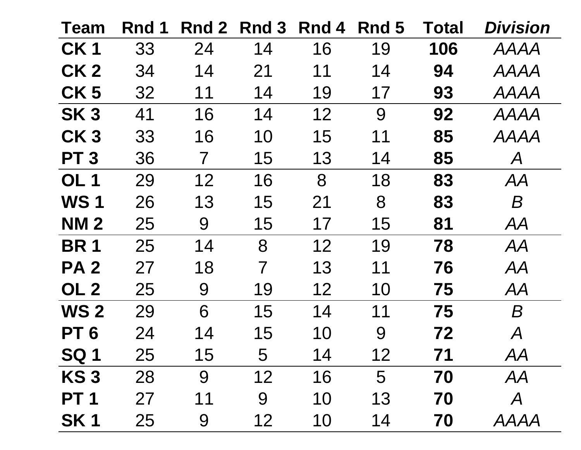| <b>Team</b>     | Rnd 1 | Rnd 2 | Rnd 3          | Rnd 4 | Rnd 5 | Total | <b>Division</b>            |
|-----------------|-------|-------|----------------|-------|-------|-------|----------------------------|
| CK <sub>1</sub> | 33    | 24    | 14             | 16    | 19    | 106   | <b>AAAA</b>                |
| CK <sub>2</sub> | 34    | 14    | 21             | 11    | 14    | 94    | <b>AAAA</b>                |
| CK <sub>5</sub> | 32    | 11    | 14             | 19    | 17    | 93    | <b>AAAA</b>                |
| SK <sub>3</sub> | 41    | 16    | 14             | 12    | 9     | 92    | <b>AAAA</b>                |
| CK <sub>3</sub> | 33    | 16    | 10             | 15    | 11    | 85    | <b>AAAA</b>                |
| <b>PT3</b>      | 36    | 7     | 15             | 13    | 14    | 85    | $\mathcal{A}$              |
| OL <sub>1</sub> | 29    | 12    | 16             | 8     | 18    | 83    | AA                         |
| <b>WS1</b>      | 26    | 13    | 15             | 21    | 8     | 83    | $\boldsymbol{B}$           |
| <b>NM2</b>      | 25    | 9     | 15             | 17    | 15    | 81    | AA                         |
| <b>BR1</b>      | 25    | 14    | 8              | 12    | 19    | 78    | AA                         |
| <b>PA2</b>      | 27    | 18    | $\overline{7}$ | 13    | 11    | 76    | AA                         |
| OL <sub>2</sub> | 25    | 9     | 19             | 12    | 10    | 75    | AA                         |
| <b>WS 2</b>     | 29    | 6     | 15             | 14    | 11    | 75    | B                          |
| PT <sub>6</sub> | 24    | 14    | 15             | 10    | 9     | 72    | $\boldsymbol{\mathcal{A}}$ |
| <b>SQ1</b>      | 25    | 15    | 5              | 14    | 12    | 71    | AA                         |
| KS <sub>3</sub> | 28    | 9     | 12             | 16    | 5     | 70    | AA                         |
| <b>PT1</b>      | 27    | 11    | 9              | 10    | 13    | 70    | $\boldsymbol{\mathcal{A}}$ |
| <b>SK1</b>      | 25    | 9     | 12             | 10    | 14    | 70    | <b>AAAA</b>                |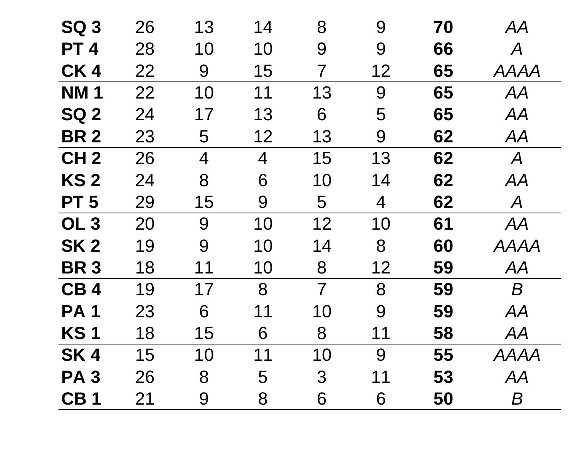| <b>SQ 3</b>     | 26 | 13             | 14             | 8              | 9  | 70 | AA                          |
|-----------------|----|----------------|----------------|----------------|----|----|-----------------------------|
| <b>PT4</b>      | 28 | 10             | 10             | 9              | 9  | 66 | $\boldsymbol{\mathcal{A}}$  |
| CK4             | 22 | 9              | 15             | 7              | 12 | 65 | <b>AAAA</b>                 |
| <b>NM1</b>      | 22 | 10             | 11             | 13             | 9  | 65 | AA                          |
| <b>SQ 2</b>     | 24 | 17             | 13             | 6              | 5  | 65 | AA                          |
| <b>BR2</b>      | 23 | 5              | 12             | 13             | 9  | 62 | AA                          |
| CH <sub>2</sub> | 26 | $\overline{4}$ | $\overline{4}$ | 15             | 13 | 62 | $\mathcal{A}_{\mathcal{A}}$ |
| <b>KS2</b>      | 24 | 8              | 6              | 10             | 14 | 62 | AA                          |
| PT <sub>5</sub> | 29 | 15             | 9              | 5              | 4  | 62 | $\mathcal{A}_{\mathcal{A}}$ |
| OL <sub>3</sub> | 20 | 9              | 10             | 12             | 10 | 61 | AA                          |
| SK <sub>2</sub> | 19 | 9              | 10             | 14             | 8  | 60 | AAAA                        |
| <b>BR3</b>      | 18 | 11             | 10             | 8              | 12 | 59 | AA                          |
| CB <sub>4</sub> | 19 | 17             | 8              | $\overline{7}$ | 8  | 59 | $\boldsymbol{B}$            |
| <b>PA1</b>      | 23 | 6              | 11             | 10             | 9  | 59 | AA                          |
| <b>KS1</b>      | 18 | 15             | 6              | 8              | 11 | 58 | AA                          |
| SK <sub>4</sub> | 15 | 10             | 11             | 10             | 9  | 55 | <b>AAAA</b>                 |
| <b>PA3</b>      | 26 | 8              | 5              | $\mathfrak{S}$ | 11 | 53 | AA                          |
| CB <sub>1</sub> | 21 | 9              | 8              | 6              | 6  | 50 | $\boldsymbol{B}$            |